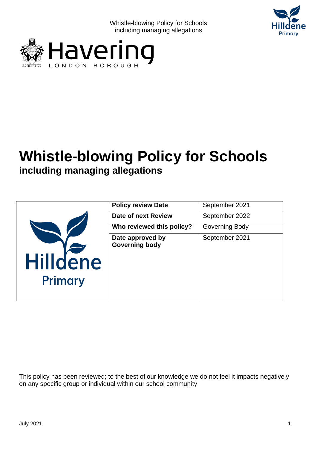





|                            | <b>Policy review Date</b>                 | September 2021 |
|----------------------------|-------------------------------------------|----------------|
|                            | Date of next Review                       | September 2022 |
|                            | Who reviewed this policy?                 | Governing Body |
| <b>Hilldene</b><br>Primary | Date approved by<br><b>Governing body</b> | September 2021 |

This policy has been reviewed; to the best of our knowledge we do not feel it impacts negatively on any specific group or individual within our school community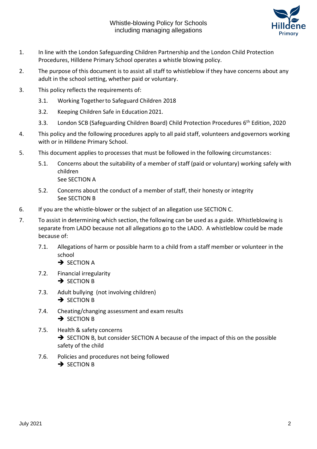

- 1. In line with the London Safeguarding Children Partnership and the London Child Protection Procedures, Hilldene Primary School operates a whistle blowing policy.
- 2. The purpose of this document is to assist all staff to whistleblow if they have concerns about any adult in the school setting, whether paid or voluntary.
- 3. This policy reflects the requirements of:
	- 3.1. Working Togetherto Safeguard Children 2018
	- 3.2. Keeping Children Safe in Education 2021.
	- 3.3. London SCB (Safeguarding Children Board) Child Protection Procedures 6<sup>th</sup> Edition, 2020
- 4. This policy and the following procedures apply to all paid staff, volunteers and governors working with or in Hilldene Primary School.
- 5. This document applies to processes that must be followed in the following circumstances:
	- 5.1. Concerns about the suitability of a member of staff (paid or voluntary) working safely with children See SECTION A
	- 5.2. Concerns about the conduct of a member of staff, their honesty or integrity See SECTION B
- 6. If you are the whistle-blower or the subject of an allegation use SECTION C.
- 7. To assist in determining which section, the following can be used as a guide. Whistleblowing is separate from LADO because not all allegations go to the LADO. A whistleblow could be made because of:
	- 7.1. Allegations of harm or possible harm to a child from a staff member or volunteer in the school
		- **→ SECTION A**
	- 7.2. Financial irregularity **→ SECTION B**
	- 7.3. Adult bullying (not involving children) **→ SECTION B**
	- 7.4. Cheating/changing assessment and exam results **→ SECTION B**
	- 7.5. Health & safety concerns ➔ SECTION B, but consider SECTION A because of the impact of this on the possible safety of the child
	- 7.6. Policies and procedures not being followed **→ SECTION B**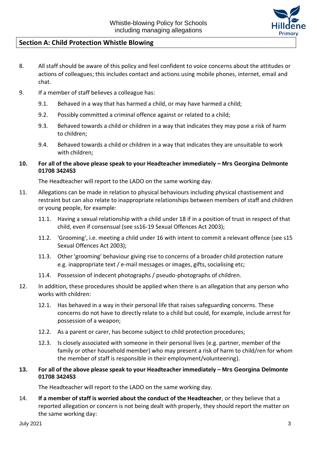

# **Section A: Child Protection Whistle Blowing**

- 8. All staff should be aware of this policy and feel confident to voice concerns about the attitudes or actions of colleagues; this includes contact and actions using mobile phones, internet, email and chat.
- 9. If a member of staff believes a colleague has:
	- 9.1. Behaved in a way that has harmed a child, or may have harmed a child;
	- 9.2. Possibly committed a criminal offence against or related to a child;
	- 9.3. Behaved towards a child or children in a way that indicates they may pose a risk of harm to children;
	- 9.4. Behaved towards a child or children in a way that indicates they are unsuitable to work with children;
- **10. For all of the above please speak to your Headteacher immediately – Mrs Georgina Delmonte 01708 342453**

The Headteacher will report to the LADO on the same working day.

- 11. Allegations can be made in relation to physical behaviours including physical chastisement and restraint but can also relate to inappropriate relationships between members of staff and children or young people, for example:
	- 11.1. Having a sexual relationship with a child under 18 if in a position of trust in respect of that child, even if consensual (see ss16-19 Sexual Offences Act 2003);
	- 11.2. 'Grooming', i.e. meeting a child under 16 with intent to commit a relevant offence (see s15 Sexual Offences Act 2003);
	- 11.3. Other 'grooming' behaviour giving rise to concerns of a broader child protection nature e.g. inappropriate text / e-mail messages or images, gifts, socialising etc;
	- 11.4. Possession of indecent photographs / pseudo-photographs of children.
- 12. In addition, these procedures should be applied when there is an allegation that any person who works with children:
	- 12.1. Has behaved in a way in their personal life that raises safeguarding concerns. These concerns do not have to directly relate to a child but could, for example, include arrest for possession of a weapon;
	- 12.2. As a parent or carer, has become subject to child protection procedures;
	- 12.3. Is closely associated with someone in their personal lives (e.g. partner, member of the family or other household member) who may present a risk of harm to child/ren for whom the member of staff is responsible in their employment/volunteering).
- **13. For all of the above please speak to your Headteacher immediately – Mrs Georgina Delmonte 01708 342453**

The Headteacher will report to the LADO on the same working day.

14. **If a member of staff is worried about the conduct of the Headteacher**, or they believe that a reported allegation or concern is not being dealt with properly, they should report the matter on the same working day: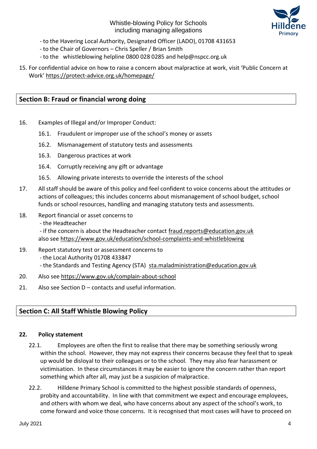

- to the Havering Local Authority, Designated Officer (LADO), 01708 431653
- to the Chair of Governors Chris Speller / Brian Smith
- to the whistleblowing helpline 0800 028 0285 and help@nspcc.org.uk
- 15. For confidential advice on how to raise a concern about malpractice at work, visit 'Public Concern at Work' <https://protect-advice.org.uk/homepage/>

# **Section B: Fraud or financial wrong doing**

- 16. Examples of Illegal and/or Improper Conduct:
	- 16.1. Fraudulent or improper use of the school's money or assets
	- 16.2. Mismanagement of statutory tests and assessments
	- 16.3. Dangerous practices at work
	- 16.4. Corruptly receiving any gift or advantage
	- 16.5. Allowing private interests to override the interests of the school
- 17. All staff should be aware of this policy and feel confident to voice concerns about the attitudes or actions of colleagues; this includes concerns about mismanagement of school budget, school funds or school resources, handling and managing statutory tests and assessments.
- 18. Report financial or asset concerns to
	- the Headteacher

- if the concern is about the Headteacher contact [fraud.reports@education.gov.uk](mailto:fraud.reports@education.gov.uk) also see<https://www.gov.uk/education/school-complaints-and-whistleblowing>

- 19. Report statutory test or assessment concerns to
	- the Local Authority 01708 433847
	- the Standards and Testing Agency (STA) [sta.maladministration@education.gov.uk](mailto:sta.maladministration@education.gov.uk)
- 20. Also see<https://www.gov.uk/complain-about-school>
- 21. Also see Section D contacts and useful information.

# **Section C: All Staff Whistle Blowing Policy**

#### **22. Policy statement**

- 22.1. Employees are often the first to realise that there may be something seriously wrong within the school. However, they may not express their concerns because they feel that to speak up would be disloyal to their colleagues or to the school. They may also fear harassment or victimisation. In these circumstances it may be easier to ignore the concern rather than report something which after all, may just be a suspicion of malpractice.
- 22.2. Hilldene Primary School is committed to the highest possible standards of openness, probity and accountability. In line with that commitment we expect and encourage employees, and others with whom we deal, who have concerns about any aspect of the school's work, to come forward and voice those concerns. It is recognised that most cases will have to proceed on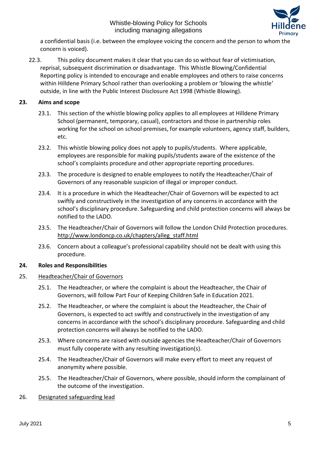

a confidential basis (i.e. between the employee voicing the concern and the person to whom the concern is voiced).

22.3. This policy document makes it clear that you can do so without fear of victimisation, reprisal, subsequent discrimination or disadvantage. This Whistle Blowing/Confidential Reporting policy is intended to encourage and enable employees and others to raise concerns within Hilldene Primary School rather than overlooking a problem or 'blowing the whistle' outside, in line with the Public Interest Disclosure Act 1998 (Whistle Blowing).

# **23. Aims and scope**

- 23.1. This section of the whistle blowing policy applies to all employees at Hilldene Primary School (permanent, temporary, casual), contractors and those in partnership roles working for the school on school premises, for example volunteers, agency staff, builders, etc.
- 23.2. This whistle blowing policy does not apply to pupils/students. Where applicable, employees are responsible for making pupils/students aware of the existence of the school's complaints procedure and other appropriate reporting procedures.
- 23.3. The procedure is designed to enable employees to notify the Headteacher/Chair of Governors of any reasonable suspicion of illegal or improper conduct.
- 23.4. It is a procedure in which the Headteacher/Chair of Governors will be expected to act swiftly and constructively in the investigation of any concerns in accordance with the school's disciplinary procedure. Safeguarding and child protection concerns will always be notified to the LADO.
- 23.5. The Headteacher/Chair of Governors will follow the London Child Protection procedures. [http://www.londoncp.co.uk/chapters/alleg\\_staff.html](http://www.londoncp.co.uk/chapters/alleg_staff.html)
- 23.6. Concern about a colleague's professional capability should not be dealt with using this procedure.

# **24. Roles and Responsibilities**

# 25. Headteacher/Chair of Governors

- 25.1. The Headteacher, or where the complaint is about the Headteacher, the Chair of Governors, will follow Part Four of Keeping Children Safe in Education 2021.
- 25.2. The Headteacher, or where the complaint is about the Headteacher, the Chair of Governors, is expected to act swiftly and constructively in the investigation of any concerns in accordance with the school's disciplinary procedure. Safeguarding and child protection concerns will always be notified to the LADO.
- 25.3. Where concerns are raised with outside agencies the Headteacher/Chair of Governors must fully cooperate with any resulting investigation(s).
- 25.4. The Headteacher/Chair of Governors will make every effort to meet any request of anonymity where possible.
- 25.5. The Headteacher/Chair of Governors, where possible, should inform the complainant of the outcome of the investigation.
- 26. Designated safeguarding lead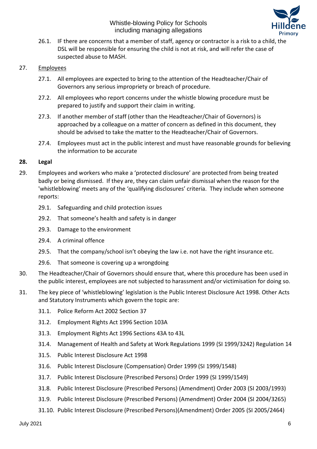

26.1. IF there are concerns that a member of staff, agency or contractor is a risk to a child, the DSL will be responsible for ensuring the child is not at risk, and will refer the case of suspected abuse to MASH.

## 27. Employees

- 27.1. All employees are expected to bring to the attention of the Headteacher/Chair of Governors any serious impropriety or breach of procedure.
- 27.2. All employees who report concerns under the whistle blowing procedure must be prepared to justify and support their claim in writing.
- 27.3. If another member of staff (other than the Headteacher/Chair of Governors) is approached by a colleague on a matter of concern as defined in this document, they should be advised to take the matter to the Headteacher/Chair of Governors.
- 27.4. Employees must act in the public interest and must have reasonable grounds for believing the information to be accurate

## **28. Legal**

- 29. Employees and workers who make a 'protected disclosure' are protected from being treated badly or being dismissed. If they are, they can claim unfair dismissal when the reason for the 'whistleblowing' meets any of the 'qualifying disclosures' criteria. They include when someone reports:
	- 29.1. Safeguarding and child protection issues
	- 29.2. That someone's health and safety is in danger
	- 29.3. Damage to the environment
	- 29.4. A criminal offence
	- 29.5. That the company/school isn't obeying the law i.e. not have the right insurance etc.
	- 29.6. That someone is covering up a wrongdoing
- 30. The Headteacher/Chair of Governors should ensure that, where this procedure has been used in the public interest, employees are not subjected to harassment and/or victimisation for doing so.
- 31. The key piece of 'whistleblowing' legislation is the Public Interest Disclosure Act 1998. Other Acts and Statutory Instruments which govern the topic are:
	- 31.1. Police Reform Act 2002 Section 37
	- 31.2. Employment Rights Act 1996 Section 103A
	- 31.3. Employment Rights Act 1996 Sections 43A to 43L
	- 31.4. Management of Health and Safety at Work Regulations 1999 (SI 1999/3242) Regulation 14
	- 31.5. Public Interest Disclosure Act 1998
	- 31.6. Public Interest Disclosure (Compensation) Order 1999 (SI 1999/1548)
	- 31.7. Public Interest Disclosure (Prescribed Persons) Order 1999 (SI 1999/1549)
	- 31.8. Public Interest Disclosure (Prescribed Persons) (Amendment) Order 2003 (SI 2003/1993)
	- 31.9. Public Interest Disclosure (Prescribed Persons) (Amendment) Order 2004 (SI 2004/3265)
	- 31.10. Public Interest Disclosure (Prescribed Persons)(Amendment) Order 2005 (SI 2005/2464)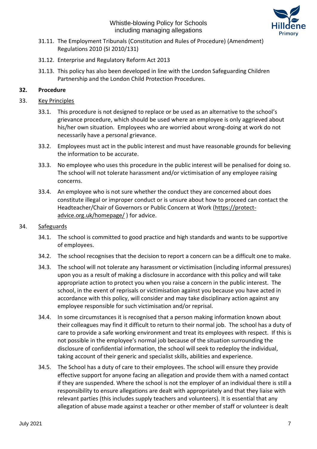

- 31.11. The Employment Tribunals (Constitution and Rules of Procedure) (Amendment) Regulations 2010 (SI 2010/131)
- 31.12. Enterprise and Regulatory Reform Act 2013
- 31.13. This policy has also been developed in line with the London Safeguarding Children Partnership and the London Child Protection Procedures.

# **32. Procedure**

## 33. Key Principles

- 33.1. This procedure is not designed to replace or be used as an alternative to the school's grievance procedure, which should be used where an employee is only aggrieved about his/her own situation. Employees who are worried about wrong-doing at work do not necessarily have a personal grievance.
- 33.2. Employees must act in the public interest and must have reasonable grounds for believing the information to be accurate.
- 33.3. No employee who uses this procedure in the public interest will be penalised for doing so. The school will not tolerate harassment and/or victimisation of any employee raising concerns.
- 33.4. An employee who is not sure whether the conduct they are concerned about does constitute illegal or improper conduct or is unsure about how to proceed can contact the Headteacher/Chair of Governors or Public Concern at Work [\(https://protect](https://protect-advice.org.uk/homepage/)[advice.org.uk/homepage/](https://protect-advice.org.uk/homepage/) ) for advice.

### 34. Safeguards

- 34.1. The school is committed to good practice and high standards and wants to be supportive of employees.
- 34.2. The school recognises that the decision to report a concern can be a difficult one to make.
- 34.3. The school will not tolerate any harassment or victimisation (including informal pressures) upon you as a result of making a disclosure in accordance with this policy and will take appropriate action to protect you when you raise a concern in the public interest. The school, in the event of reprisals or victimisation against you because you have acted in accordance with this policy, will consider and may take disciplinary action against any employee responsible for such victimisation and/or reprisal.
- 34.4. In some circumstances it is recognised that a person making information known about their colleagues may find it difficult to return to their normal job. The school has a duty of care to provide a safe working environment and treat its employees with respect. If this is not possible in the employee's normal job because of the situation surrounding the disclosure of confidential information, the school will seek to redeploy the individual, taking account of their generic and specialist skills, abilities and experience.
- 34.5. The School has a duty of care to their employees. The school will ensure they provide effective support for anyone facing an allegation and provide them with a named contact if they are suspended. Where the school is not the employer of an individual there is still a responsibility to ensure allegations are dealt with appropriately and that they liaise with relevant parties (this includes supply teachers and volunteers). It is essential that any allegation of abuse made against a teacher or other member of staff or volunteer is dealt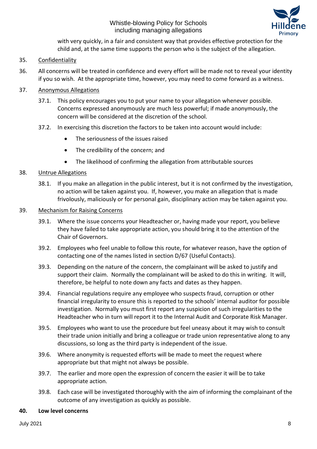

with very quickly, in a fair and consistent way that provides effective protection for the child and, at the same time supports the person who is the subject of the allegation.

# 35. Confidentiality

36. All concerns will be treated in confidence and every effort will be made not to reveal your identity if you so wish. At the appropriate time, however, you may need to come forward as a witness.

# 37. Anonymous Allegations

- 37.1. This policy encourages you to put your name to your allegation whenever possible. Concerns expressed anonymously are much less powerful; if made anonymously, the concern will be considered at the discretion of the school.
- 37.2. In exercising this discretion the factors to be taken into account would include:
	- The seriousness of the issues raised
	- The credibility of the concern; and
	- The likelihood of confirming the allegation from attributable sources

# 38. Untrue Allegations

38.1. If you make an allegation in the public interest, but it is not confirmed by the investigation, no action will be taken against you. If, however, you make an allegation that is made frivolously, maliciously or for personal gain, disciplinary action may be taken against you.

## 39. Mechanism for Raising Concerns

- 39.1. Where the issue concerns your Headteacher or, having made your report, you believe they have failed to take appropriate action, you should bring it to the attention of the Chair of Governors.
- 39.2. Employees who feel unable to follow this route, for whatever reason, have the option of contacting one of the names listed in section D/67 (Useful Contacts).
- 39.3. Depending on the nature of the concern, the complainant will be asked to justify and support their claim. Normally the complainant will be asked to do this in writing. It will, therefore, be helpful to note down any facts and dates as they happen.
- 39.4. Financial regulations require any employee who suspects fraud, corruption or other financial irregularity to ensure this is reported to the schools' internal auditor for possible investigation. Normally you must first report any suspicion of such irregularities to the Headteacher who in turn will report it to the Internal Audit and Corporate Risk Manager.
- 39.5. Employees who want to use the procedure but feel uneasy about it may wish to consult their trade union initially and bring a colleague or trade union representative along to any discussions, so long as the third party is independent of the issue.
- 39.6. Where anonymity is requested efforts will be made to meet the request where appropriate but that might not always be possible.
- 39.7. The earlier and more open the expression of concern the easier it will be to take appropriate action.
- 39.8. Each case will be investigated thoroughly with the aim of informing the complainant of the outcome of any investigation as quickly as possible.

# **40. Low level concerns**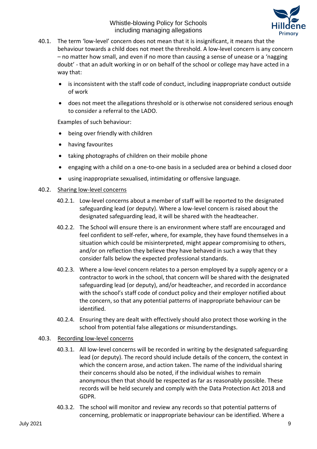

- 40.1. The term 'low-level' concern does not mean that it is insignificant, it means that the behaviour towards a child does not meet the threshold. A low-level concern is any concern – no matter how small, and even if no more than causing a sense of unease or a 'nagging doubt' - that an adult working in or on behalf of the school or college may have acted in a way that:
	- is inconsistent with the staff code of conduct, including inappropriate conduct outside of work
	- does not meet the allegations threshold or is otherwise not considered serious enough to consider a referral to the LADO.

Examples of such behaviour:

- being over friendly with children
- having favourites
- taking photographs of children on their mobile phone
- engaging with a child on a one-to-one basis in a secluded area or behind a closed door
- using inappropriate sexualised, intimidating or offensive language.

#### 40.2. Sharing low-level concerns

- 40.2.1. Low-level concerns about a member of staff will be reported to the designated safeguarding lead (or deputy). Where a low-level concern is raised about the designated safeguarding lead, it will be shared with the headteacher.
- 40.2.2. The School will ensure there is an environment where staff are encouraged and feel confident to self-refer, where, for example, they have found themselves in a situation which could be misinterpreted, might appear compromising to others, and/or on reflection they believe they have behaved in such a way that they consider falls below the expected professional standards.
- 40.2.3. Where a low-level concern relates to a person employed by a supply agency or a contractor to work in the school, that concern will be shared with the designated safeguarding lead (or deputy), and/or headteacher, and recorded in accordance with the school's staff code of conduct policy and their employer notified about the concern, so that any potential patterns of inappropriate behaviour can be identified.
- 40.2.4. Ensuring they are dealt with effectively should also protect those working in the school from potential false allegations or misunderstandings.

#### 40.3. Recording low-level concerns

- 40.3.1. All low-level concerns will be recorded in writing by the designated safeguarding lead (or deputy). The record should include details of the concern, the context in which the concern arose, and action taken. The name of the individual sharing their concerns should also be noted, if the individual wishes to remain anonymous then that should be respected as far as reasonably possible. These records will be held securely and comply with the Data Protection Act 2018 and GDPR.
- 40.3.2. The school will monitor and review any records so that potential patterns of concerning, problematic or inappropriate behaviour can be identified. Where a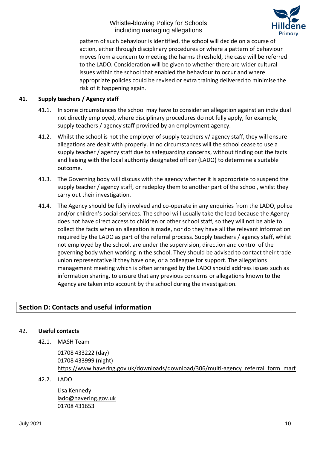

pattern of such behaviour is identified, the school will decide on a course of action, either through disciplinary procedures or where a pattern of behaviour moves from a concern to meeting the harms threshold, the case will be referred to the LADO. Consideration will be given to whether there are wider cultural issues within the school that enabled the behaviour to occur and where appropriate policies could be revised or extra training delivered to minimise the risk of it happening again.

# **41. Supply teachers / Agency staff**

- 41.1. In some circumstances the school may have to consider an allegation against an individual not directly employed, where disciplinary procedures do not fully apply, for example, supply teachers / agency staff provided by an employment agency.
- 41.2. Whilst the school is not the employer of supply teachers v/ agency staff, they will ensure allegations are dealt with properly. In no circumstances will the school cease to use a supply teacher / agency staff due to safeguarding concerns, without finding out the facts and liaising with the local authority designated officer (LADO) to determine a suitable outcome.
- 41.3. The Governing body will discuss with the agency whether it is appropriate to suspend the supply teacher / agency staff, or redeploy them to another part of the school, whilst they carry out their investigation.
- 41.4. The Agency should be fully involved and co-operate in any enquiries from the LADO, police and/or children's social services. The school will usually take the lead because the Agency does not have direct access to children or other school staff, so they will not be able to collect the facts when an allegation is made, nor do they have all the relevant information required by the LADO as part of the referral process. Supply teachers / agency staff, whilst not employed by the school, are under the supervision, direction and control of the governing body when working in the school. They should be advised to contact their trade union representative if they have one, or a colleague for support. The allegations management meeting which is often arranged by the LADO should address issues such as information sharing, to ensure that any previous concerns or allegations known to the Agency are taken into account by the school during the investigation.

# **Section D: Contacts and useful information**

# 42. **Useful contacts**

42.1. MASH Team

01708 433222 (day) 01708 433999 (night) [https://www.havering.gov.uk/downloads/download/306/multi-agency\\_referral\\_form\\_marf](https://www.havering.gov.uk/downloads/download/306/multi-agency_referral_form_marf)

42.2. LADO

Lisa Kennedy [lado@havering.gov.uk](mailto:lado@havering.gov.uk) 01708 431653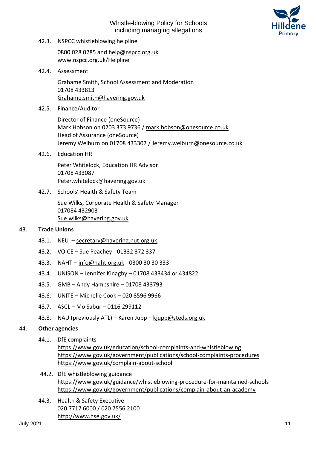

42.3. NSPCC whistleblowing helpline

0800 028 0285 and [help@nspcc.org.uk](mailto:help@nspcc.org.uk) [www.nspcc.org.uk/Helpline](http://www.nspcc.org.uk/Helpline)

42.4. Assessment

Grahame Smith, School Assessment and Moderation 01708 433813 [Grahame.smith@havering.gov.uk](mailto:Grahame.smith@havering.gov.uk)

42.5. Finance/Auditor

Director of Finance (oneSource) Mark Hobson on 0203 373 9736 / [mark.hobson@onesource.co.uk](mailto:mark.hobson@onesource.co.uk) Head of Assurance (oneSource) Jeremy Welburn on 01708 433307 / [Jeremy.welburn@onesource.co.uk](mailto:Jeremy.welburn@onesource.co.uk)

42.6. Education HR

Peter Whitelock, Education HR Advisor 01708 433087 [Peter.whitelock@havering.gov.uk](mailto:Peter.whitelock@havering.gov.uk)

42.7. Schools' Health & Safety Team

Sue Wilks, Corporate Health & Safety Manager 017084 432903 [Sue.wilks@havering.gov.uk](mailto:Sue.wilks@havering.gov.uk)

#### 43. **Trade Unions**

- 43.1. NEU [secretary@havering.nut.org.uk](mailto:secretary@havering.nut.org.uk)
- 43.2. VOICE Sue Peachey 01332 372 337
- 43.3. NAHT [info@naht.org.uk](mailto:info@naht.org.uk) 0300 30 30 333
- 43.4. UNISON Jennifer Kinagby 01708 433434 or 434822
- 43.5. GMB Andy Hampshire 01708 433793
- 43.6. UNITE Michelle Cook 020 8596 9966
- 43.7. ASCL Mo Sabur 0116 299112
- 43.8. NAU (previously ATL) Karen Jupp [kjupp@steds.org.uk](mailto:kjupp@steds.org.uk)

#### 44. **Other agencies**

- 44.1. DfE complaints
	- <https://www.gov.uk/education/school-complaints-and-whistleblowing> <https://www.gov.uk/government/publications/school-complaints-procedures> <https://www.gov.uk/complain-about-school>
- 44.2. DfE whistleblowing guidance <https://www.gov.uk/guidance/whistleblowing-procedure-for-maintained-schools> <https://www.gov.uk/government/publications/complain-about-an-academy>
- 44.3. Health & Safety Executive 020 7717 6000 / 020 7556 2100 <http://www.hse.gov.uk/>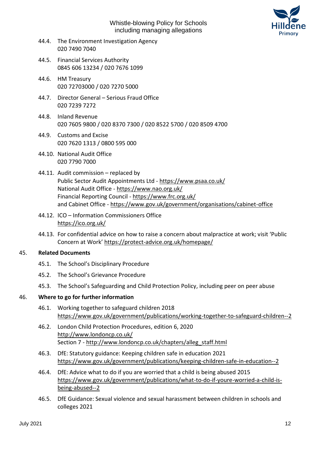

- 44.4. The Environment Investigation Agency 020 7490 7040
- 44.5. Financial Services Authority 0845 606 13234 / 020 7676 1099
- 44.6. HM Treasury 020 72703000 / 020 7270 5000
- 44.7. Director General Serious Fraud Office 020 7239 7272
- 44.8. Inland Revenue 020 7605 9800 / 020 8370 7300 / 020 8522 5700 / 020 8509 4700
- 44.9. Customs and Excise 020 7620 1313 / 0800 595 000
- 44.10. National Audit Office 020 7790 7000
- 44.11. Audit commission replaced by Public Sector Audit Appointments Ltd - <https://www.psaa.co.uk/> National Audit Office - <https://www.nao.org.uk/> Financial Reporting Council - <https://www.frc.org.uk/> and Cabinet Office - <https://www.gov.uk/government/organisations/cabinet-office>
- 44.12. ICO Information Commissioners Office <https://ico.org.uk/>
- 44.13. For confidential advice on how to raise a concern about malpractice at work; visit 'Public Concern at Work' <https://protect-advice.org.uk/homepage/>

#### 45. **Related Documents**

- 45.1. The School's Disciplinary Procedure
- 45.2. The School's Grievance Procedure
- 45.3. The School's Safeguarding and Child Protection Policy, including peer on peer abuse

# 46. **Where to go for further information**

- 46.1. Working together to safeguard children 2018 <https://www.gov.uk/government/publications/working-together-to-safeguard-children--2>
- 46.2. London Child Protection Procedures, edition 6, 2020 <http://www.londoncp.co.uk/> Section 7 - [http://www.londoncp.co.uk/chapters/alleg\\_staff.html](http://www.londoncp.co.uk/chapters/alleg_staff.html)
- 46.3. DfE: Statutory guidance: Keeping children safe in education 2021 <https://www.gov.uk/government/publications/keeping-children-safe-in-education--2>
- 46.4. DfE: Advice what to do if you are worried that a child is being abused 2015 [https://www.gov.uk/government/publications/what-to-do-if-youre-worried-a-child-is](https://www.gov.uk/government/publications/what-to-do-if-youre-worried-a-child-is-being-abused--2)[being-abused--2](https://www.gov.uk/government/publications/what-to-do-if-youre-worried-a-child-is-being-abused--2)
- 46.5. DfE Guidance: [Sexual violence and sexual harassment between children in schools and](https://www.gov.uk/government/uploads/system/uploads/attachment_data/file/719902/Sexual_violence_and_sexual_harassment_between_children_in_schools_and_colleges.pdf)  [colleges](https://www.gov.uk/government/uploads/system/uploads/attachment_data/file/719902/Sexual_violence_and_sexual_harassment_between_children_in_schools_and_colleges.pdf) 2021